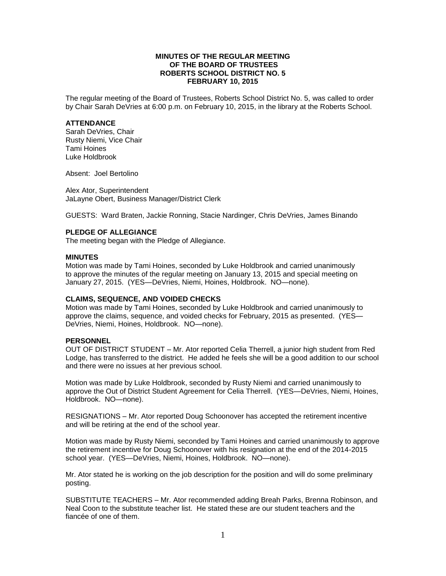# **MINUTES OF THE REGULAR MEETING OF THE BOARD OF TRUSTEES ROBERTS SCHOOL DISTRICT NO. 5 FEBRUARY 10, 2015**

The regular meeting of the Board of Trustees, Roberts School District No. 5, was called to order by Chair Sarah DeVries at 6:00 p.m. on February 10, 2015, in the library at the Roberts School.

## **ATTENDANCE**

Sarah DeVries, Chair Rusty Niemi, Vice Chair Tami Hoines Luke Holdbrook

Absent: Joel Bertolino

Alex Ator, Superintendent JaLayne Obert, Business Manager/District Clerk

GUESTS: Ward Braten, Jackie Ronning, Stacie Nardinger, Chris DeVries, James Binando

## **PLEDGE OF ALLEGIANCE**

The meeting began with the Pledge of Allegiance.

## **MINUTES**

Motion was made by Tami Hoines, seconded by Luke Holdbrook and carried unanimously to approve the minutes of the regular meeting on January 13, 2015 and special meeting on January 27, 2015. (YES—DeVries, Niemi, Hoines, Holdbrook. NO—none).

## **CLAIMS, SEQUENCE, AND VOIDED CHECKS**

Motion was made by Tami Hoines, seconded by Luke Holdbrook and carried unanimously to approve the claims, sequence, and voided checks for February, 2015 as presented. (YES— DeVries, Niemi, Hoines, Holdbrook. NO—none).

#### **PERSONNEL**

OUT OF DISTRICT STUDENT – Mr. Ator reported Celia Therrell, a junior high student from Red Lodge, has transferred to the district. He added he feels she will be a good addition to our school and there were no issues at her previous school.

Motion was made by Luke Holdbrook, seconded by Rusty Niemi and carried unanimously to approve the Out of District Student Agreement for Celia Therrell. (YES—DeVries, Niemi, Hoines, Holdbrook. NO—none).

RESIGNATIONS – Mr. Ator reported Doug Schoonover has accepted the retirement incentive and will be retiring at the end of the school year.

Motion was made by Rusty Niemi, seconded by Tami Hoines and carried unanimously to approve the retirement incentive for Doug Schoonover with his resignation at the end of the 2014-2015 school year. (YES—DeVries, Niemi, Hoines, Holdbrook. NO—none).

Mr. Ator stated he is working on the job description for the position and will do some preliminary posting.

SUBSTITUTE TEACHERS – Mr. Ator recommended adding Breah Parks, Brenna Robinson, and Neal Coon to the substitute teacher list. He stated these are our student teachers and the fiancée of one of them.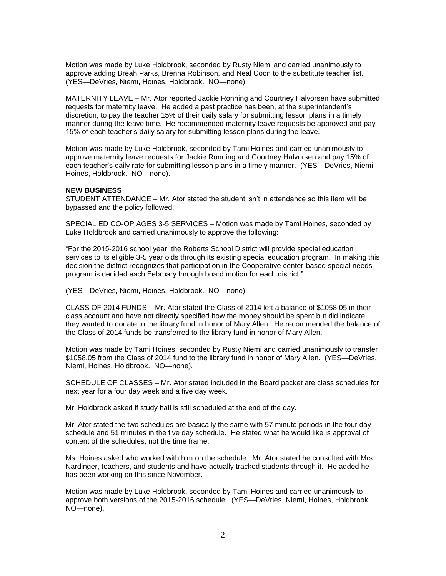Motion was made by Luke Holdbrook, seconded by Rusty Niemi and carried unanimously to approve adding Breah Parks, Brenna Robinson, and Neal Coon to the substitute teacher list. (YES—DeVries, Niemi, Hoines, Holdbrook. NO—none).

MATERNITY LEAVE – Mr. Ator reported Jackie Ronning and Courtney Halvorsen have submitted requests for maternity leave. He added a past practice has been, at the superintendent's discretion, to pay the teacher 15% of their daily salary for submitting lesson plans in a timely manner during the leave time. He recommended maternity leave requests be approved and pay 15% of each teacher's daily salary for submitting lesson plans during the leave.

Motion was made by Luke Holdbrook, seconded by Tami Hoines and carried unanimously to approve maternity leave requests for Jackie Ronning and Courtney Halvorsen and pay 15% of each teacher's daily rate for submitting lesson plans in a timely manner. (YES—DeVries, Niemi, Hoines, Holdbrook. NO—none).

#### **NEW BUSINESS**

STUDENT ATTENDANCE – Mr. Ator stated the student isn't in attendance so this item will be bypassed and the policy followed.

SPECIAL ED CO-OP AGES 3-5 SERVICES – Motion was made by Tami Hoines, seconded by Luke Holdbrook and carried unanimously to approve the following:

"For the 2015-2016 school year, the Roberts School District will provide special education services to its eligible 3-5 year olds through its existing special education program. In making this decision the district recognizes that participation in the Cooperative center-based special needs program is decided each February through board motion for each district."

(YES—DeVries, Niemi, Hoines, Holdbrook. NO—none).

CLASS OF 2014 FUNDS – Mr. Ator stated the Class of 2014 left a balance of \$1058.05 in their class account and have not directly specified how the money should be spent but did indicate they wanted to donate to the library fund in honor of Mary Allen. He recommended the balance of the Class of 2014 funds be transferred to the library fund in honor of Mary Allen.

Motion was made by Tami Hoines, seconded by Rusty Niemi and carried unanimously to transfer \$1058.05 from the Class of 2014 fund to the library fund in honor of Mary Allen. (YES—DeVries, Niemi, Hoines, Holdbrook. NO—none).

SCHEDULE OF CLASSES – Mr. Ator stated included in the Board packet are class schedules for next year for a four day week and a five day week.

Mr. Holdbrook asked if study hall is still scheduled at the end of the day.

Mr. Ator stated the two schedules are basically the same with 57 minute periods in the four day schedule and 51 minutes in the five day schedule. He stated what he would like is approval of content of the schedules, not the time frame.

Ms. Hoines asked who worked with him on the schedule. Mr. Ator stated he consulted with Mrs. Nardinger, teachers, and students and have actually tracked students through it. He added he has been working on this since November.

Motion was made by Luke Holdbrook, seconded by Tami Hoines and carried unanimously to approve both versions of the 2015-2016 schedule. (YES—DeVries, Niemi, Hoines, Holdbrook. NO—none).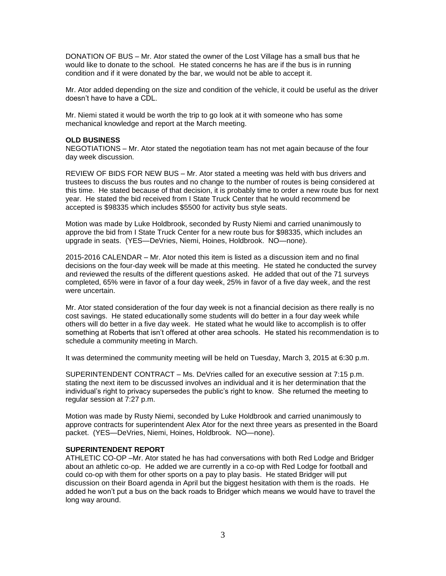DONATION OF BUS – Mr. Ator stated the owner of the Lost Village has a small bus that he would like to donate to the school. He stated concerns he has are if the bus is in running condition and if it were donated by the bar, we would not be able to accept it.

Mr. Ator added depending on the size and condition of the vehicle, it could be useful as the driver doesn't have to have a CDL.

Mr. Niemi stated it would be worth the trip to go look at it with someone who has some mechanical knowledge and report at the March meeting.

## **OLD BUSINESS**

NEGOTIATIONS – Mr. Ator stated the negotiation team has not met again because of the four day week discussion.

REVIEW OF BIDS FOR NEW BUS – Mr. Ator stated a meeting was held with bus drivers and trustees to discuss the bus routes and no change to the number of routes is being considered at this time. He stated because of that decision, it is probably time to order a new route bus for next year. He stated the bid received from I State Truck Center that he would recommend be accepted is \$98335 which includes \$5500 for activity bus style seats.

Motion was made by Luke Holdbrook, seconded by Rusty Niemi and carried unanimously to approve the bid from I State Truck Center for a new route bus for \$98335, which includes an upgrade in seats. (YES—DeVries, Niemi, Hoines, Holdbrook. NO—none).

2015-2016 CALENDAR – Mr. Ator noted this item is listed as a discussion item and no final decisions on the four-day week will be made at this meeting. He stated he conducted the survey and reviewed the results of the different questions asked. He added that out of the 71 surveys completed, 65% were in favor of a four day week, 25% in favor of a five day week, and the rest were uncertain.

Mr. Ator stated consideration of the four day week is not a financial decision as there really is no cost savings. He stated educationally some students will do better in a four day week while others will do better in a five day week. He stated what he would like to accomplish is to offer something at Roberts that isn't offered at other area schools. He stated his recommendation is to schedule a community meeting in March.

It was determined the community meeting will be held on Tuesday, March 3, 2015 at 6:30 p.m.

SUPERINTENDENT CONTRACT – Ms. DeVries called for an executive session at 7:15 p.m. stating the next item to be discussed involves an individual and it is her determination that the individual's right to privacy supersedes the public's right to know. She returned the meeting to regular session at 7:27 p.m.

Motion was made by Rusty Niemi, seconded by Luke Holdbrook and carried unanimously to approve contracts for superintendent Alex Ator for the next three years as presented in the Board packet. (YES—DeVries, Niemi, Hoines, Holdbrook. NO—none).

## **SUPERINTENDENT REPORT**

ATHLETIC CO-OP –Mr. Ator stated he has had conversations with both Red Lodge and Bridger about an athletic co-op. He added we are currently in a co-op with Red Lodge for football and could co-op with them for other sports on a pay to play basis. He stated Bridger will put discussion on their Board agenda in April but the biggest hesitation with them is the roads. He added he won't put a bus on the back roads to Bridger which means we would have to travel the long way around.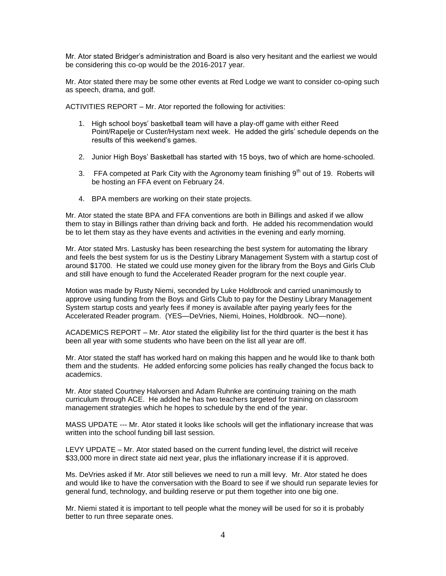Mr. Ator stated Bridger's administration and Board is also very hesitant and the earliest we would be considering this co-op would be the 2016-2017 year.

Mr. Ator stated there may be some other events at Red Lodge we want to consider co-oping such as speech, drama, and golf.

ACTIVITIES REPORT – Mr. Ator reported the following for activities:

- 1. High school boys' basketball team will have a play-off game with either Reed Point/Rapelje or Custer/Hystam next week. He added the girls' schedule depends on the results of this weekend's games.
- 2. Junior High Boys' Basketball has started with 15 boys, two of which are home-schooled.
- 3. FFA competed at Park City with the Agronomy team finishing  $9<sup>th</sup>$  out of 19. Roberts will be hosting an FFA event on February 24.
- 4. BPA members are working on their state projects.

Mr. Ator stated the state BPA and FFA conventions are both in Billings and asked if we allow them to stay in Billings rather than driving back and forth. He added his recommendation would be to let them stay as they have events and activities in the evening and early morning.

Mr. Ator stated Mrs. Lastusky has been researching the best system for automating the library and feels the best system for us is the Destiny Library Management System with a startup cost of around \$1700. He stated we could use money given for the library from the Boys and Girls Club and still have enough to fund the Accelerated Reader program for the next couple year.

Motion was made by Rusty Niemi, seconded by Luke Holdbrook and carried unanimously to approve using funding from the Boys and Girls Club to pay for the Destiny Library Management System startup costs and yearly fees if money is available after paying yearly fees for the Accelerated Reader program. (YES—DeVries, Niemi, Hoines, Holdbrook. NO—none).

ACADEMICS REPORT – Mr. Ator stated the eligibility list for the third quarter is the best it has been all year with some students who have been on the list all year are off.

Mr. Ator stated the staff has worked hard on making this happen and he would like to thank both them and the students. He added enforcing some policies has really changed the focus back to academics.

Mr. Ator stated Courtney Halvorsen and Adam Ruhnke are continuing training on the math curriculum through ACE. He added he has two teachers targeted for training on classroom management strategies which he hopes to schedule by the end of the year.

MASS UPDATE --- Mr. Ator stated it looks like schools will get the inflationary increase that was written into the school funding bill last session.

LEVY UPDATE – Mr. Ator stated based on the current funding level, the district will receive \$33,000 more in direct state aid next year, plus the inflationary increase if it is approved.

Ms. DeVries asked if Mr. Ator still believes we need to run a mill levy. Mr. Ator stated he does and would like to have the conversation with the Board to see if we should run separate levies for general fund, technology, and building reserve or put them together into one big one.

Mr. Niemi stated it is important to tell people what the money will be used for so it is probably better to run three separate ones.